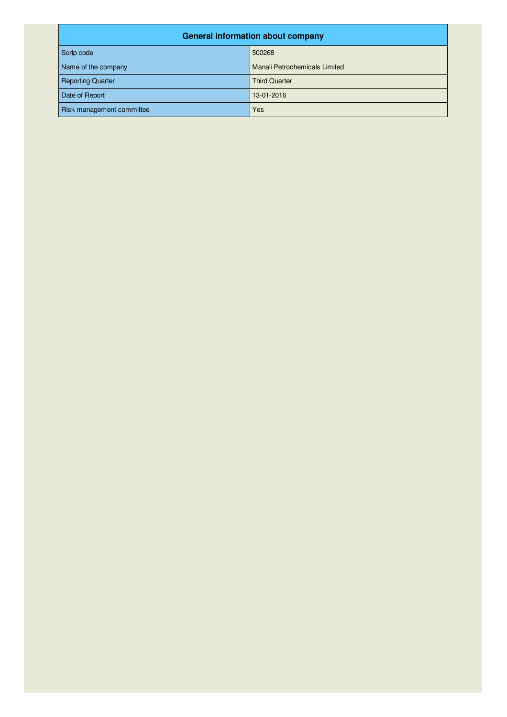| <b>General information about company</b> |                               |  |  |
|------------------------------------------|-------------------------------|--|--|
| Scrip code                               | 500268                        |  |  |
| Name of the company                      | Manali Petrochemicals Limited |  |  |
| <b>Reporting Quarter</b>                 | <b>Third Quarter</b>          |  |  |
| Date of Report                           | 13-01-2016                    |  |  |
| Risk management committee                | Yes                           |  |  |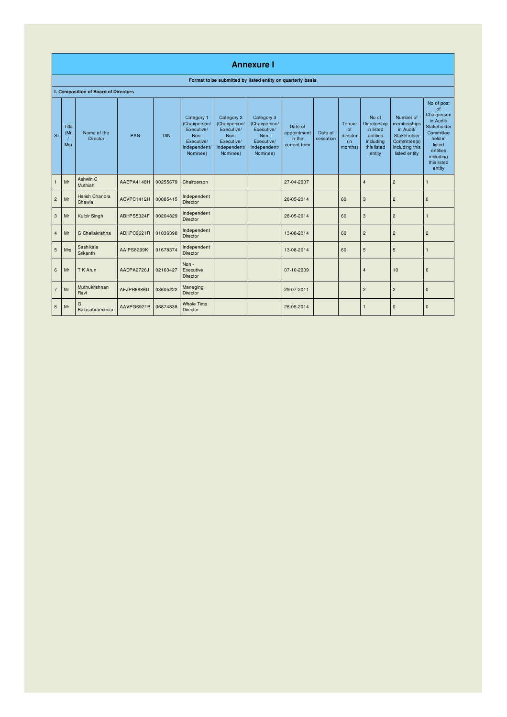|                | <b>Annexure I</b>   |                                      |            |            |                                                                                             |                                                                                             |                                                                                             |                                                  |                      |                                                   |                                                                                      |                                                                                                         |                                                                                                                                                 |
|----------------|---------------------|--------------------------------------|------------|------------|---------------------------------------------------------------------------------------------|---------------------------------------------------------------------------------------------|---------------------------------------------------------------------------------------------|--------------------------------------------------|----------------------|---------------------------------------------------|--------------------------------------------------------------------------------------|---------------------------------------------------------------------------------------------------------|-------------------------------------------------------------------------------------------------------------------------------------------------|
|                |                     |                                      |            |            |                                                                                             |                                                                                             | Format to be submitted by listed entity on quarterly basis                                  |                                                  |                      |                                                   |                                                                                      |                                                                                                         |                                                                                                                                                 |
|                |                     | I. Composition of Board of Directors |            |            |                                                                                             |                                                                                             |                                                                                             |                                                  |                      |                                                   |                                                                                      |                                                                                                         |                                                                                                                                                 |
| Sr             | Title<br>(Mr<br>Ms) | Name of the<br><b>Director</b>       | <b>PAN</b> | <b>DIN</b> | Category 1<br>(Chairperson/<br>Executive/<br>Non-<br>Executive/<br>Independent/<br>Nominee) | Category 2<br>(Chairperson/<br>Executive/<br>Non-<br>Executive/<br>Independent/<br>Nominee) | Category 3<br>(Chairperson/<br>Executive/<br>Non-<br>Executive/<br>Independent/<br>Nominee) | Date of<br>appointment<br>in the<br>current term | Date of<br>cessation | Tenure<br><b>of</b><br>director<br>(in<br>months) | No of<br>Directorship<br>in listed<br>entities<br>including<br>this listed<br>entity | Number of<br>memberships<br>in Audit/<br>Stakeholder<br>Committee(s)<br>including this<br>listed entity | No of post<br>of<br>Chairperson<br>in Audit/<br>Stakeholder<br>Committee<br>held in<br>listed<br>entities<br>including<br>this listed<br>entity |
| $\mathbf{1}$   | Mr                  | Ashwin C<br>Muthiah                  | AAEPA4148H | 00255679   | Chairperson                                                                                 |                                                                                             |                                                                                             | 27-04-2007                                       |                      |                                                   | $\overline{4}$                                                                       | $\overline{c}$                                                                                          | $\overline{1}$                                                                                                                                  |
| $\overline{2}$ | Mr                  | Harish Chandra<br>Chawla             | ACVPC1412H | 00085415   | Independent<br>Director                                                                     |                                                                                             |                                                                                             | 28-05-2014                                       |                      | 60                                                | 3                                                                                    | $\overline{c}$                                                                                          | $\mathsf{O}$                                                                                                                                    |
| 3              | Mr                  | Kulbir Singh                         | ABHPS5324F | 00204829   | Independent<br>Director                                                                     |                                                                                             |                                                                                             | 28-05-2014                                       |                      | 60                                                | $\mathbf{3}$                                                                         | $\overline{c}$                                                                                          | $\overline{1}$                                                                                                                                  |
| $\overline{4}$ | Mr                  | G Chellakrishna                      | ADHPC9621R | 01036398   | Independent<br>Director                                                                     |                                                                                             |                                                                                             | 13-08-2014                                       |                      | 60                                                | $\overline{c}$                                                                       | $\overline{c}$                                                                                          | $\overline{c}$                                                                                                                                  |
| 5              | <b>Mrs</b>          | Sashikala<br>Srikanth                | AAIPS8299K | 01678374   | Independent<br><b>Director</b>                                                              |                                                                                             |                                                                                             | 13-08-2014                                       |                      | 60                                                | 5                                                                                    | 5                                                                                                       | $\overline{1}$                                                                                                                                  |
| 6              | Mr                  | T K Arun                             | AADPA2726J | 02163427   | Non -<br>Executive<br>Director                                                              |                                                                                             |                                                                                             | 07-10-2009                                       |                      |                                                   | $\overline{4}$                                                                       | 10                                                                                                      | $\mathbf 0$                                                                                                                                     |
| $\overline{7}$ | Mr                  | Muthukrishnan<br>Ravi                | AFZPR6886D | 03605222   | Managing<br><b>Director</b>                                                                 |                                                                                             |                                                                                             | 29-07-2011                                       |                      |                                                   | $\overline{c}$                                                                       | $\overline{c}$                                                                                          | $\mathbf{0}$                                                                                                                                    |
| 8              | Mr                  | G<br>Balasubramanian                 | AAVPG6921B | 06874838   | <b>Whole Time</b><br>Director                                                               |                                                                                             |                                                                                             | 28-05-2014                                       |                      |                                                   | $\mathbf{1}$                                                                         | $\mathbf 0$                                                                                             | $\mathbf 0$                                                                                                                                     |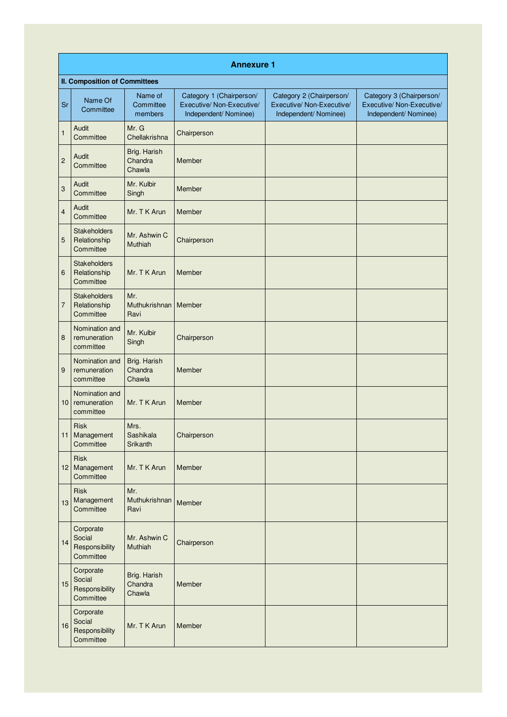|                  | <b>Annexure 1</b>                                  |                                     |                                                                                |                                                                                |                                                                                |  |  |  |
|------------------|----------------------------------------------------|-------------------------------------|--------------------------------------------------------------------------------|--------------------------------------------------------------------------------|--------------------------------------------------------------------------------|--|--|--|
|                  | <b>II. Composition of Committees</b>               |                                     |                                                                                |                                                                                |                                                                                |  |  |  |
| Sr               | Name Of<br>Committee                               | Name of<br>Committee<br>members     | Category 1 (Chairperson/<br>Executive/ Non-Executive/<br>Independent/ Nominee) | Category 2 (Chairperson/<br>Executive/ Non-Executive/<br>Independent/ Nominee) | Category 3 (Chairperson/<br>Executive/ Non-Executive/<br>Independent/ Nominee) |  |  |  |
| $\mathbf{1}$     | Audit<br>Committee                                 | Mr. G<br>Chellakrishna              | Chairperson                                                                    |                                                                                |                                                                                |  |  |  |
| $\overline{c}$   | Audit<br>Committee                                 | Brig. Harish<br>Chandra<br>Chawla   | Member                                                                         |                                                                                |                                                                                |  |  |  |
| $\mathbf{3}$     | Audit<br>Committee                                 | Mr. Kulbir<br>Singh                 | Member                                                                         |                                                                                |                                                                                |  |  |  |
| $\overline{4}$   | Audit<br>Committee                                 | Mr. T K Arun                        | Member                                                                         |                                                                                |                                                                                |  |  |  |
| 5                | <b>Stakeholders</b><br>Relationship<br>Committee   | Mr. Ashwin C<br>Muthiah             | Chairperson                                                                    |                                                                                |                                                                                |  |  |  |
| $\,6$            | <b>Stakeholders</b><br>Relationship<br>Committee   | Mr. T K Arun                        | Member                                                                         |                                                                                |                                                                                |  |  |  |
| $\overline{7}$   | <b>Stakeholders</b><br>Relationship<br>Committee   | Mr.<br><b>Muthukrishnan</b><br>Ravi | Member                                                                         |                                                                                |                                                                                |  |  |  |
| $\boldsymbol{8}$ | Nomination and<br>remuneration<br>committee        | Mr. Kulbir<br>Singh                 | Chairperson                                                                    |                                                                                |                                                                                |  |  |  |
| 9                | Nomination and<br>remuneration<br>committee        | Brig. Harish<br>Chandra<br>Chawla   | Member                                                                         |                                                                                |                                                                                |  |  |  |
| 10               | Nomination and<br>remuneration<br>committee        | Mr. T K Arun                        | Member                                                                         |                                                                                |                                                                                |  |  |  |
|                  | <b>Risk</b><br>11 Management<br>Committee          | Mrs.<br>Sashikala<br>Srikanth       | Chairperson                                                                    |                                                                                |                                                                                |  |  |  |
|                  | Risk<br>12 Management<br>Committee                 | Mr. T K Arun                        | Member                                                                         |                                                                                |                                                                                |  |  |  |
| 13               | Risk<br>Management<br>Committee                    | Mr.<br>Muthukrishnan<br>Ravi        | Member                                                                         |                                                                                |                                                                                |  |  |  |
| 14               | Corporate<br>Social<br>Responsibility<br>Committee | Mr. Ashwin C<br>Muthiah             | Chairperson                                                                    |                                                                                |                                                                                |  |  |  |
| 15               | Corporate<br>Social<br>Responsibility<br>Committee | Brig. Harish<br>Chandra<br>Chawla   | Member                                                                         |                                                                                |                                                                                |  |  |  |
| 16               | Corporate<br>Social<br>Responsibility<br>Committee | Mr. T K Arun                        | Member                                                                         |                                                                                |                                                                                |  |  |  |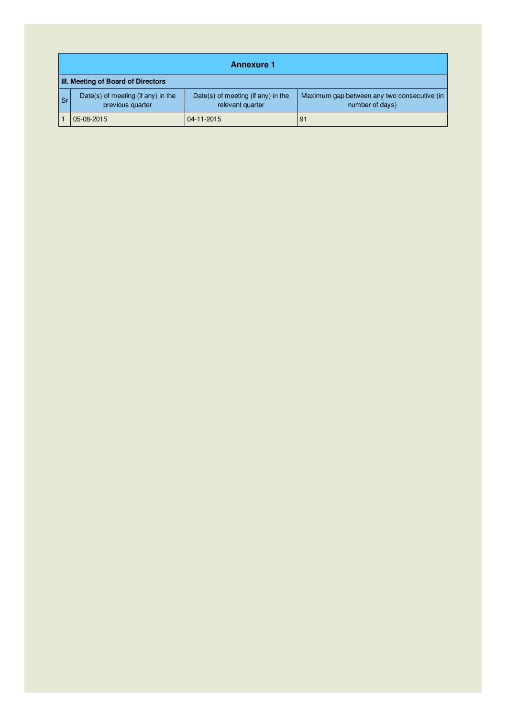|           | <b>Annexure 1</b>                                      |                                                        |                                                                |  |  |  |
|-----------|--------------------------------------------------------|--------------------------------------------------------|----------------------------------------------------------------|--|--|--|
|           | III. Meeting of Board of Directors                     |                                                        |                                                                |  |  |  |
| <b>Sr</b> | Date(s) of meeting (if any) in the<br>previous quarter | Date(s) of meeting (if any) in the<br>relevant quarter | Maximum gap between any two consecutive (in<br>number of days) |  |  |  |
|           | 05-08-2015                                             | 04-11-2015                                             | 91                                                             |  |  |  |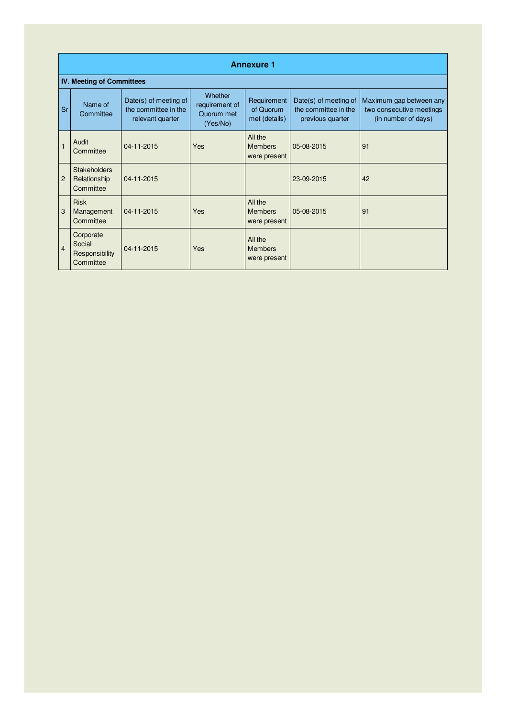|                | <b>Annexure 1</b>                                  |                                                                   |                                                     |                                           |                                                                   |                                                                            |  |
|----------------|----------------------------------------------------|-------------------------------------------------------------------|-----------------------------------------------------|-------------------------------------------|-------------------------------------------------------------------|----------------------------------------------------------------------------|--|
|                | <b>IV. Meeting of Committees</b>                   |                                                                   |                                                     |                                           |                                                                   |                                                                            |  |
| <b>Sr</b>      | Name of<br>Committee                               | Date(s) of meeting of<br>the committee in the<br>relevant quarter | Whether<br>requirement of<br>Quorum met<br>(Yes/No) | Requirement<br>of Quorum<br>met (details) | Date(s) of meeting of<br>the committee in the<br>previous quarter | Maximum gap between any<br>two consecutive meetings<br>(in number of days) |  |
| $\mathbf{1}$   | Audit<br>Committee                                 | 04-11-2015                                                        | <b>Yes</b>                                          | All the<br><b>Members</b><br>were present | 05-08-2015                                                        | 91                                                                         |  |
| $\overline{2}$ | <b>Stakeholders</b><br>Relationship<br>Committee   | 04-11-2015                                                        |                                                     |                                           | 23-09-2015                                                        | 42                                                                         |  |
| 3              | <b>Risk</b><br>Management<br>Committee             | 04-11-2015                                                        | <b>Yes</b>                                          | All the<br><b>Members</b><br>were present | 05-08-2015                                                        | 91                                                                         |  |
| $\overline{4}$ | Corporate<br>Social<br>Responsibility<br>Committee | 04-11-2015                                                        | <b>Yes</b>                                          | All the<br><b>Members</b><br>were present |                                                                   |                                                                            |  |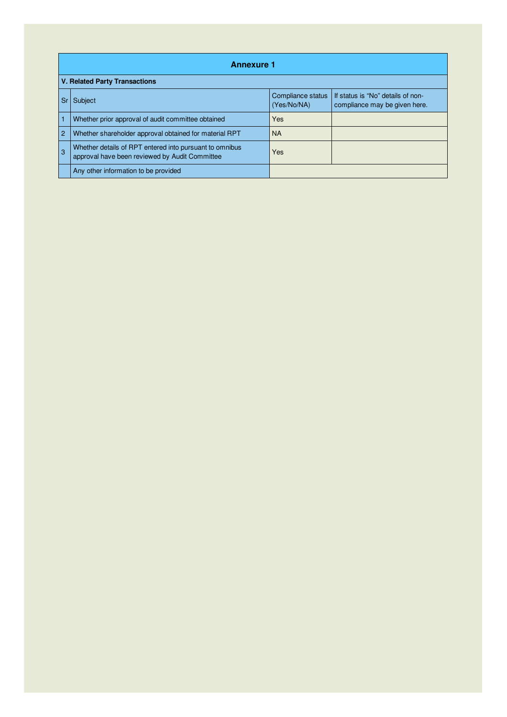|                | <b>Annexure 1</b>                                                                                         |                                  |                                                                    |  |  |
|----------------|-----------------------------------------------------------------------------------------------------------|----------------------------------|--------------------------------------------------------------------|--|--|
|                | <b>V. Related Party Transactions</b>                                                                      |                                  |                                                                    |  |  |
| l Sr           | Subject                                                                                                   | Compliance status<br>(Yes/No/NA) | If status is "No" details of non-<br>compliance may be given here. |  |  |
| $\vert$ 1      | Whether prior approval of audit committee obtained                                                        | Yes                              |                                                                    |  |  |
| 2              | Whether shareholder approval obtained for material RPT                                                    | <b>NA</b>                        |                                                                    |  |  |
| $\overline{3}$ | Whether details of RPT entered into pursuant to omnibus<br>approval have been reviewed by Audit Committee | Yes                              |                                                                    |  |  |
|                | Any other information to be provided                                                                      |                                  |                                                                    |  |  |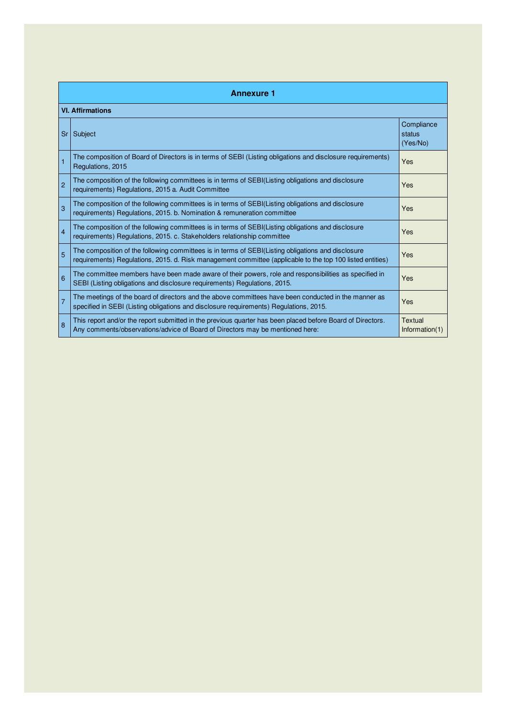|                | <b>Annexure 1</b>                                                                                                                                                                                               |                                  |  |  |  |
|----------------|-----------------------------------------------------------------------------------------------------------------------------------------------------------------------------------------------------------------|----------------------------------|--|--|--|
|                | <b>VI. Affirmations</b>                                                                                                                                                                                         |                                  |  |  |  |
| Sr             | Subject                                                                                                                                                                                                         | Compliance<br>status<br>(Yes/No) |  |  |  |
| $\mathbf{1}$   | The composition of Board of Directors is in terms of SEBI (Listing obligations and disclosure requirements)<br>Regulations, 2015                                                                                | Yes                              |  |  |  |
| $\overline{2}$ | The composition of the following committees is in terms of SEBI(Listing obligations and disclosure<br>requirements) Regulations, 2015 a. Audit Committee                                                        | Yes                              |  |  |  |
| 3              | The composition of the following committees is in terms of SEBI(Listing obligations and disclosure<br>requirements) Regulations, 2015. b. Nomination & remuneration committee                                   | Yes                              |  |  |  |
| $\overline{4}$ | The composition of the following committees is in terms of SEBI(Listing obligations and disclosure<br>requirements) Regulations, 2015. c. Stakeholders relationship committee                                   | Yes                              |  |  |  |
| 5              | The composition of the following committees is in terms of SEBI(Listing obligations and disclosure<br>requirements) Requlations, 2015. d. Risk management committee (applicable to the top 100 listed entities) | Yes                              |  |  |  |
| 6              | The committee members have been made aware of their powers, role and responsibilities as specified in<br>SEBI (Listing obligations and disclosure requirements) Regulations, 2015.                              | Yes                              |  |  |  |
| $\overline{7}$ | The meetings of the board of directors and the above committees have been conducted in the manner as<br>specified in SEBI (Listing obligations and disclosure requirements) Regulations, 2015.                  | Yes                              |  |  |  |
| 8              | This report and/or the report submitted in the previous quarter has been placed before Board of Directors.<br>Any comments/observations/advice of Board of Directors may be mentioned here:                     | Textual<br>Information(1)        |  |  |  |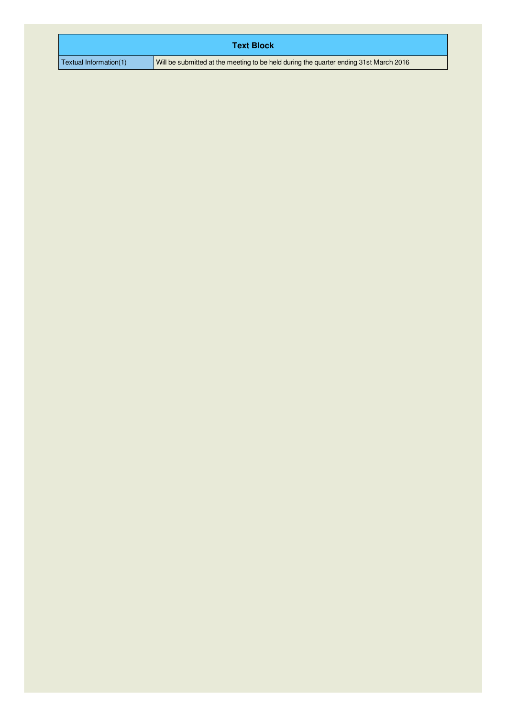|                        | <b>Text Block</b>                                                                     |
|------------------------|---------------------------------------------------------------------------------------|
| Textual Information(1) | Will be submitted at the meeting to be held during the quarter ending 31st March 2016 |